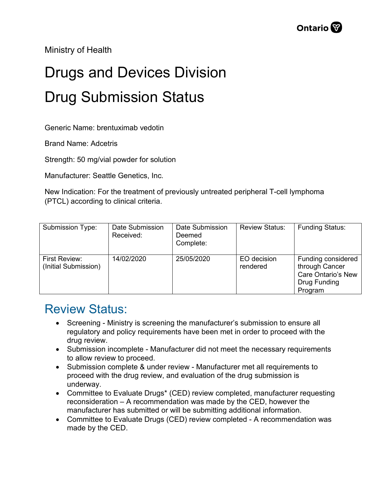Ministry of Health

## Drugs and Devices Division Drug Submission Status

Generic Name: brentuximab vedotin

Brand Name: Adcetris

Strength: 50 mg/vial powder for solution

Manufacturer: Seattle Genetics, Inc.

New Indication: For the treatment of previously untreated peripheral T-cell lymphoma (PTCL) according to clinical criteria.

| Submission Type:                      | Date Submission<br>Received: | Date Submission<br>Deemed<br>Complete: | <b>Review Status:</b>   | <b>Funding Status:</b>                                                                       |
|---------------------------------------|------------------------------|----------------------------------------|-------------------------|----------------------------------------------------------------------------------------------|
| First Review:<br>(Initial Submission) | 14/02/2020                   | 25/05/2020                             | EO decision<br>rendered | Funding considered<br>through Cancer<br><b>Care Ontario's New</b><br>Drug Funding<br>Program |

## Review Status:

- Screening Ministry is screening the manufacturer's submission to ensure all regulatory and policy requirements have been met in order to proceed with the drug review.
- Submission incomplete Manufacturer did not meet the necessary requirements to allow review to proceed.
- Submission complete & under review Manufacturer met all requirements to proceed with the drug review, and evaluation of the drug submission is underway.
- Committee to Evaluate Drugs\* (CED) review completed, manufacturer requesting reconsideration – A recommendation was made by the CED, however the manufacturer has submitted or will be submitting additional information.
- Committee to Evaluate Drugs (CED) review completed A recommendation was made by the CED.